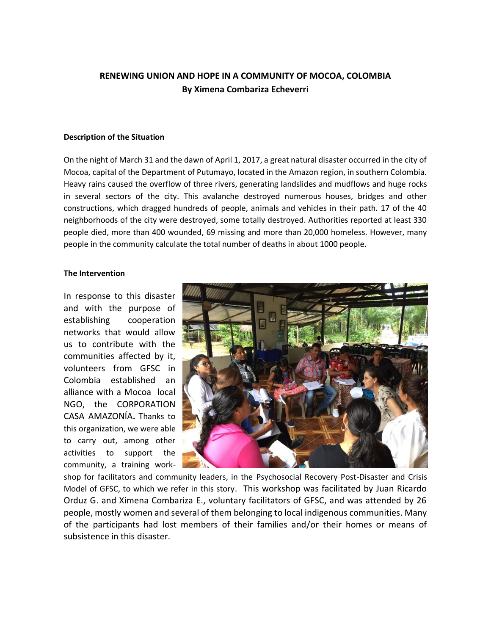# **RENEWING UNION AND HOPE IN A COMMUNITY OF MOCOA, COLOMBIA By Ximena Combariza Echeverri**

#### **Description of the Situation**

On the night of March 31 and the dawn of April 1, 2017, a great natural disaster occurred in the city of Mocoa, capital of the Department of Putumayo, located in the Amazon region, in southern Colombia. Heavy rains caused the overflow of three rivers, generating landslides and mudflows and huge rocks in several sectors of the city. This avalanche destroyed numerous houses, bridges and other constructions, which dragged hundreds of people, animals and vehicles in their path. 17 of the 40 neighborhoods of the city were destroyed, some totally destroyed. Authorities reported at least 330 people died, more than 400 wounded, 69 missing and more than 20,000 homeless. However, many people in the community calculate the total number of deaths in about 1000 people.

#### **The Intervention**

In response to this disaster and with the purpose of establishing cooperation networks that would allow us to contribute with the communities affected by it, volunteers from GFSC in Colombia established an alliance with a Mocoa local NGO, the CORPORATION CASA AMAZONÍA**.** Thanks to this organization, we were able to carry out, among other activities to support the community, a training work-



shop for facilitators and community leaders, in the Psychosocial Recovery Post-Disaster and Crisis Model of GFSC, to which we refer in this story. This workshop was facilitated by Juan Ricardo Orduz G. and Ximena Combariza E., voluntary facilitators of GFSC, and was attended by 26 people, mostly women and several of them belonging to local indigenous communities. Many of the participants had lost members of their families and/or their homes or means of subsistence in this disaster.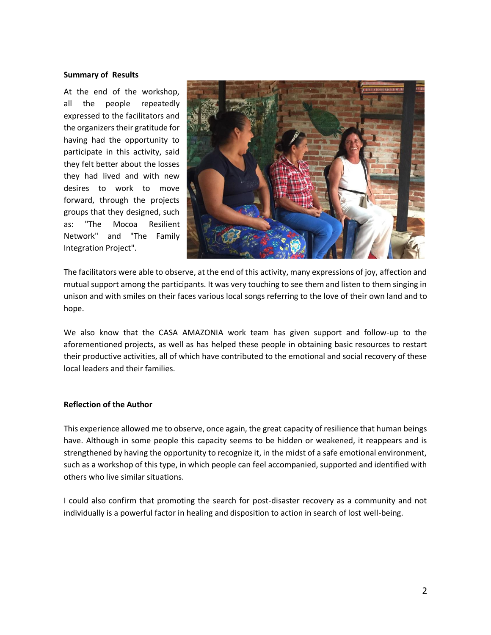## **Summary of Results**

At the end of the workshop, all the people repeatedly expressed to the facilitators and the organizers their gratitude for having had the opportunity to participate in this activity, said they felt better about the losses they had lived and with new desires to work to move forward, through the projects groups that they designed, such as: "The Mocoa Resilient Network" and "The Family Integration Project".



The facilitators were able to observe, at the end of this activity, many expressions of joy, affection and mutual support among the participants. It was very touching to see them and listen to them singing in unison and with smiles on their faces various local songs referring to the love of their own land and to hope.

We also know that the CASA AMAZONIA work team has given support and follow-up to the aforementioned projects, as well as has helped these people in obtaining basic resources to restart their productive activities, all of which have contributed to the emotional and social recovery of these local leaders and their families.

## **Reflection of the Author**

This experience allowed me to observe, once again, the great capacity of resilience that human beings have. Although in some people this capacity seems to be hidden or weakened, it reappears and is strengthened by having the opportunity to recognize it, in the midst of a safe emotional environment, such as a workshop of this type, in which people can feel accompanied, supported and identified with others who live similar situations.

I could also confirm that promoting the search for post-disaster recovery as a community and not individually is a powerful factor in healing and disposition to action in search of lost well-being.